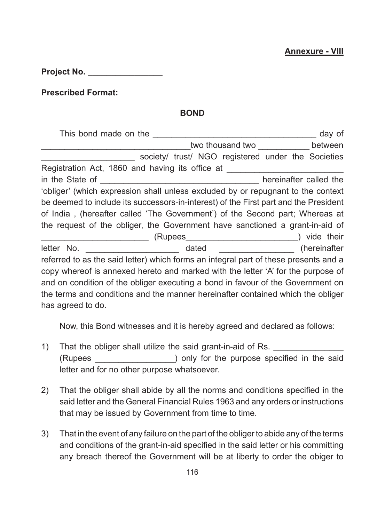**Project No. \_\_\_\_\_\_\_\_\_\_\_\_\_\_\_\_**

**Prescribed Format:** 

## **BOND**

|                                                                                      |                                                    |                                          |  |  | day of |
|--------------------------------------------------------------------------------------|----------------------------------------------------|------------------------------------------|--|--|--------|
|                                                                                      |                                                    | two thousand two _______________ between |  |  |        |
|                                                                                      | society/ trust/ NGO registered under the Societies |                                          |  |  |        |
| Registration Act, 1860 and having its office at                                      |                                                    |                                          |  |  |        |
|                                                                                      |                                                    |                                          |  |  |        |
| 'obliger' (which expression shall unless excluded by or repugnant to the context     |                                                    |                                          |  |  |        |
| be deemed to include its successors-in-interest) of the First part and the President |                                                    |                                          |  |  |        |
| of India, (hereafter called 'The Government') of the Second part; Whereas at         |                                                    |                                          |  |  |        |
| the request of the obliger, the Government have sanctioned a grant-in-aid of         |                                                    |                                          |  |  |        |
|                                                                                      |                                                    |                                          |  |  |        |
|                                                                                      |                                                    |                                          |  |  |        |
| referred to as the said letter) which forms an integral part of these presents and a |                                                    |                                          |  |  |        |
| copy whereof is annexed hereto and marked with the letter 'A' for the purpose of     |                                                    |                                          |  |  |        |
| and on condition of the obliger executing a bond in favour of the Government on      |                                                    |                                          |  |  |        |
| the terms and conditions and the manner hereinafter contained which the obliger      |                                                    |                                          |  |  |        |
| has agreed to do.                                                                    |                                                    |                                          |  |  |        |

Now, this Bond witnesses and it is hereby agreed and declared as follows:

- 1) That the obliger shall utilize the said grant-in-aid of Rs. (Rupees \_\_\_\_\_\_\_\_\_\_\_\_\_\_\_\_\_) only for the purpose specified in the said letter and for no other purpose whatsoever.
- 2) That the obliger shall abide by all the norms and conditions specified in the said letter and the General Financial Rules 1963 and any orders or instructions that may be issued by Government from time to time.
- 3) That in the event of any failure on the part of the obliger to abide any of the terms and conditions of the grant-in-aid specified in the said letter or his committing any breach thereof the Government will be at liberty to order the obiger to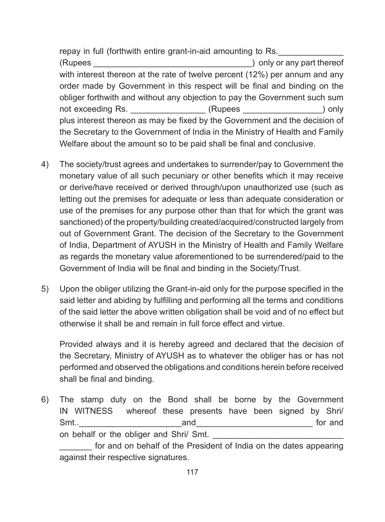repay in full (forthwith entire grant-in-aid amounting to Rs. (Rupees etc.) only or any part thereof with interest thereon at the rate of twelve percent (12%) per annum and any order made by Government in this respect will be final and binding on the obliger forthwith and without any objection to pay the Government such sum not exceeding Rs. \_\_\_\_\_\_\_\_\_\_\_\_\_\_\_\_\_\_\_\_(Rupees \_\_\_\_\_\_\_\_\_\_\_\_\_\_\_\_\_\_\_\_\_) only plus interest thereon as may be fixed by the Government and the decision of the Secretary to the Government of India in the Ministry of Health and Family Welfare about the amount so to be paid shall be final and conclusive.

- 4) The society/trust agrees and undertakes to surrender/pay to Government the monetary value of all such pecuniary or other benefits which it may receive or derive/have received or derived through/upon unauthorized use (such as letting out the premises for adequate or less than adequate consideration or use of the premises for any purpose other than that for which the grant was sanctioned) of the property/building created/acquired/constructed largely from out of Government Grant. The decision of the Secretary to the Government of India, Department of AYUSH in the Ministry of Health and Family Welfare as regards the monetary value aforementioned to be surrendered/paid to the Government of India will be final and binding in the Society/Trust.
- 5) Upon the obliger utilizing the Grant-in-aid only for the purpose specified in the said letter and abiding by fulfilling and performing all the terms and conditions of the said letter the above written obligation shall be void and of no effect but otherwise it shall be and remain in full force effect and virtue.

Provided always and it is hereby agreed and declared that the decision of the Secretary, Ministry of AYUSH as to whatever the obliger has or has not performed and observed the obligations and conditions herein before received shall be final and binding.

6) The stamp duty on the Bond shall be borne by the Government IN WITNESS whereof these presents have been signed by Shri/ Smt...<br>Smt... on behalf or the obliger and Shri/ Smt. for and on behalf of the President of India on the dates appearing against their respective signatures.